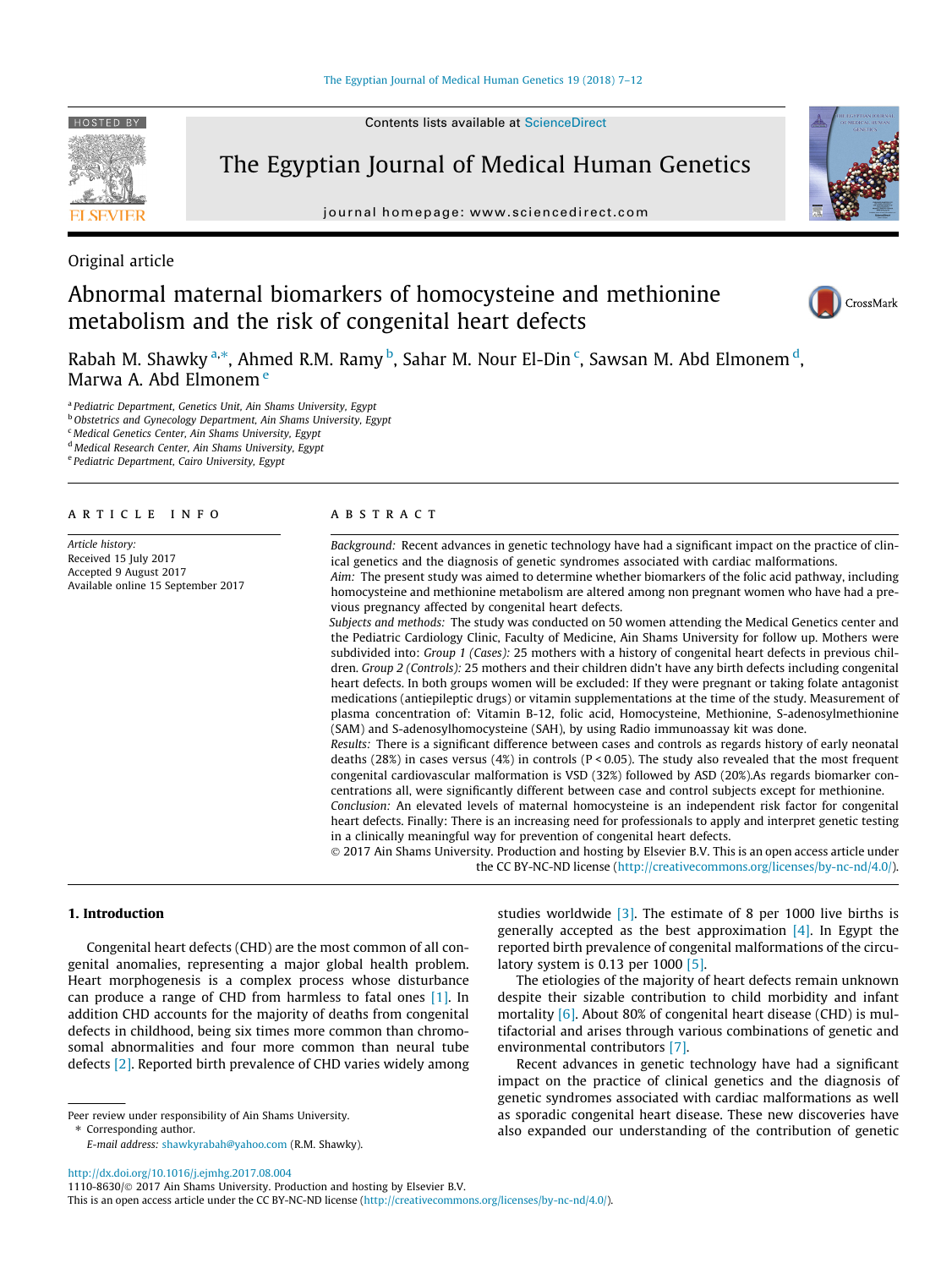Contents lists available at [ScienceDirect](http://www.sciencedirect.com/science/journal/11108630)

# The Egyptian Journal of Medical Human Genetics

journal homepage: [www.sciencedirect.com](http://www.sciencedirect.com)



## Abnormal maternal biomarkers of homocysteine and methionine metabolism and the risk of congenital heart defects



CrossMark

Rabah M. Shawky <sup>a,\*</sup>, Ahmed R.M. Ramy <sup>b</sup>, Sahar M. Nour El-Din <sup>c</sup>, Sawsan M. Abd Elmonem <sup>d</sup>, Marwa A. Abd Elmonem <sup>e</sup>

<sup>a</sup> Pediatric Department, Genetics Unit, Ain Shams University, Egypt

**b** Obstetrics and Gynecology Department, Ain Shams University, Egypt

<sup>c</sup> Medical Genetics Center, Ain Shams University, Egypt

<sup>d</sup> Medical Research Center, Ain Shams University, Egypt

<sup>e</sup> Pediatric Department, Cairo University, Egypt

#### article info

Article history: Received 15 July 2017 Accepted 9 August 2017 Available online 15 September 2017

#### **ABSTRACT**

Background: Recent advances in genetic technology have had a significant impact on the practice of clinical genetics and the diagnosis of genetic syndromes associated with cardiac malformations.

Aim: The present study was aimed to determine whether biomarkers of the folic acid pathway, including homocysteine and methionine metabolism are altered among non pregnant women who have had a previous pregnancy affected by congenital heart defects.

Subjects and methods: The study was conducted on 50 women attending the Medical Genetics center and the Pediatric Cardiology Clinic, Faculty of Medicine, Ain Shams University for follow up. Mothers were subdivided into: Group 1 (Cases): 25 mothers with a history of congenital heart defects in previous children. Group 2 (Controls): 25 mothers and their children didn't have any birth defects including congenital heart defects. In both groups women will be excluded: If they were pregnant or taking folate antagonist medications (antiepileptic drugs) or vitamin supplementations at the time of the study. Measurement of plasma concentration of: Vitamin B-12, folic acid, Homocysteine, Methionine, S-adenosylmethionine (SAM) and S-adenosylhomocysteine (SAH), by using Radio immunoassay kit was done.

Results: There is a significant difference between cases and controls as regards history of early neonatal deaths (28%) in cases versus (4%) in controls ( $P < 0.05$ ). The study also revealed that the most frequent congenital cardiovascular malformation is VSD (32%) followed by ASD (20%).As regards biomarker concentrations all, were significantly different between case and control subjects except for methionine.

Conclusion: An elevated levels of maternal homocysteine is an independent risk factor for congenital heart defects. Finally: There is an increasing need for professionals to apply and interpret genetic testing in a clinically meaningful way for prevention of congenital heart defects.

 2017 Ain Shams University. Production and hosting by Elsevier B.V. This is an open access article under the CC BY-NC-ND license (<http://creativecommons.org/licenses/by-nc-nd/4.0/>).

#### 1. Introduction

Congenital heart defects (CHD) are the most common of all congenital anomalies, representing a major global health problem. Heart morphogenesis is a complex process whose disturbance can produce a range of CHD from harmless to fatal ones [\[1\].](#page-5-0) In addition CHD accounts for the majority of deaths from congenital defects in childhood, being six times more common than chromosomal abnormalities and four more common than neural tube defects [\[2\]](#page-5-0). Reported birth prevalence of CHD varies widely among

Peer review under responsibility of Ain Shams University. ⇑ Corresponding author.

E-mail address: [shawkyrabah@yahoo.com](mailto:shawkyrabah@yahoo.com) (R.M. Shawky).

studies worldwide [\[3\].](#page-5-0) The estimate of 8 per 1000 live births is generally accepted as the best approximation  $[4]$ . In Egypt the reported birth prevalence of congenital malformations of the circulatory system is 0.13 per 1000  $[5]$ .

The etiologies of the majority of heart defects remain unknown despite their sizable contribution to child morbidity and infant mortality [\[6\].](#page-5-0) About 80% of congenital heart disease (CHD) is multifactorial and arises through various combinations of genetic and environmental contributors [\[7\].](#page-5-0)

Recent advances in genetic technology have had a significant impact on the practice of clinical genetics and the diagnosis of genetic syndromes associated with cardiac malformations as well as sporadic congenital heart disease. These new discoveries have also expanded our understanding of the contribution of genetic

<http://dx.doi.org/10.1016/j.ejmhg.2017.08.004>



<sup>1110-8630/ 2017</sup> Ain Shams University. Production and hosting by Elsevier B.V.

This is an open access article under the CC BY-NC-ND license ([http://creativecommons.org/licenses/by-nc-nd/4.0/\)](http://creativecommons.org/licenses/by-nc-nd/4.0/).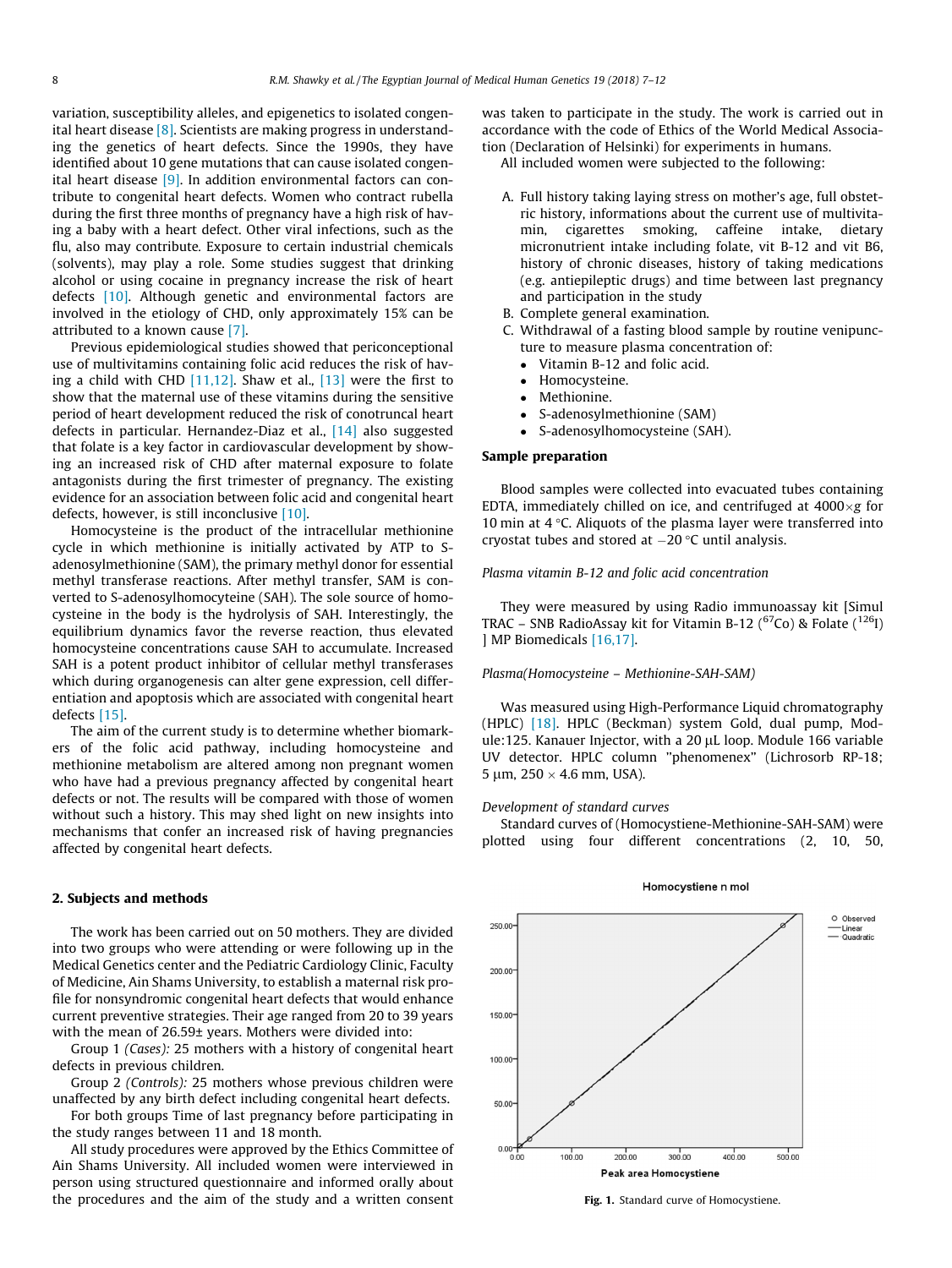<span id="page-1-0"></span>variation, susceptibility alleles, and epigenetics to isolated congenital heart disease [\[8\].](#page-5-0) Scientists are making progress in understanding the genetics of heart defects. Since the 1990s, they have identified about 10 gene mutations that can cause isolated congenital heart disease [\[9\].](#page-5-0) In addition environmental factors can contribute to congenital heart defects. Women who contract rubella during the first three months of pregnancy have a high risk of having a baby with a heart defect. Other viral infections, such as the flu, also may contribute. Exposure to certain industrial chemicals (solvents), may play a role. Some studies suggest that drinking alcohol or using cocaine in pregnancy increase the risk of heart defects [\[10\]](#page-5-0). Although genetic and environmental factors are involved in the etiology of CHD, only approximately 15% can be attributed to a known cause [\[7\].](#page-5-0)

Previous epidemiological studies showed that periconceptional use of multivitamins containing folic acid reduces the risk of having a child with CHD  $[11,12]$ . Shaw et al.,  $[13]$  were the first to show that the maternal use of these vitamins during the sensitive period of heart development reduced the risk of conotruncal heart defects in particular. Hernandez-Diaz et al., [\[14\]](#page-5-0) also suggested that folate is a key factor in cardiovascular development by showing an increased risk of CHD after maternal exposure to folate antagonists during the first trimester of pregnancy. The existing evidence for an association between folic acid and congenital heart defects, however, is still inconclusive [\[10\].](#page-5-0)

Homocysteine is the product of the intracellular methionine cycle in which methionine is initially activated by ATP to Sadenosylmethionine (SAM), the primary methyl donor for essential methyl transferase reactions. After methyl transfer, SAM is converted to S-adenosylhomocyteine (SAH). The sole source of homocysteine in the body is the hydrolysis of SAH. Interestingly, the equilibrium dynamics favor the reverse reaction, thus elevated homocysteine concentrations cause SAH to accumulate. Increased SAH is a potent product inhibitor of cellular methyl transferases which during organogenesis can alter gene expression, cell differentiation and apoptosis which are associated with congenital heart defects [\[15\].](#page-5-0)

The aim of the current study is to determine whether biomarkers of the folic acid pathway, including homocysteine and methionine metabolism are altered among non pregnant women who have had a previous pregnancy affected by congenital heart defects or not. The results will be compared with those of women without such a history. This may shed light on new insights into mechanisms that confer an increased risk of having pregnancies affected by congenital heart defects.

#### 2. Subjects and methods

The work has been carried out on 50 mothers. They are divided into two groups who were attending or were following up in the Medical Genetics center and the Pediatric Cardiology Clinic, Faculty of Medicine, Ain Shams University, to establish a maternal risk profile for nonsyndromic congenital heart defects that would enhance current preventive strategies. Their age ranged from 20 to 39 years with the mean of 26.59± years. Mothers were divided into:

Group 1 (Cases): 25 mothers with a history of congenital heart defects in previous children.

Group 2 (Controls): 25 mothers whose previous children were unaffected by any birth defect including congenital heart defects.

For both groups Time of last pregnancy before participating in the study ranges between 11 and 18 month.

All study procedures were approved by the Ethics Committee of Ain Shams University. All included women were interviewed in person using structured questionnaire and informed orally about the procedures and the aim of the study and a written consent was taken to participate in the study. The work is carried out in accordance with the code of Ethics of the World Medical Association (Declaration of Helsinki) for experiments in humans.

All included women were subjected to the following:

- A. Full history taking laying stress on mother's age, full obstetric history, informations about the current use of multivitamin, cigarettes smoking, caffeine intake, dietary micronutrient intake including folate, vit B-12 and vit B6, history of chronic diseases, history of taking medications (e.g. antiepileptic drugs) and time between last pregnancy and participation in the study
- B. Complete general examination.
- C. Withdrawal of a fasting blood sample by routine venipuncture to measure plasma concentration of:
	- Vitamin B-12 and folic acid.
	- Homocysteine.
	- Methionine.
	- S-adenosylmethionine (SAM)<br>• S-adenosylhomocysteine (SAI
	- S-adenosylhomocysteine (SAH).

## Sample preparation

Blood samples were collected into evacuated tubes containing EDTA, immediately chilled on ice, and centrifuged at  $4000 \times g$  for 10 min at  $4^{\circ}$ C. Aliquots of the plasma layer were transferred into cryostat tubes and stored at  $-20$  °C until analysis.

#### Plasma vitamin B-12 and folic acid concentration

They were measured by using Radio immunoassay kit [Simul TRAC – SNB RadioAssay kit for Vitamin B-12 ( ${}^{67}$ Co) & Folate ( ${}^{126}$ I) ] MP Biomedicals [\[16,17\]](#page-5-0).

#### Plasma(Homocysteine – Methionine-SAH-SAM)

Was measured using High-Performance Liquid chromatography (HPLC) [\[18\]](#page-5-0). HPLC (Beckman) system Gold, dual pump, Module:125. Kanauer Injector, with a 20 µL loop. Module 166 variable UV detector. HPLC column ''phenomenex'' (Lichrosorb RP-18; 5 µm,  $250 \times 4.6$  mm, USA).

#### Development of standard curves

Standard curves of (Homocystiene-Methionine-SAH-SAM) were plotted using four different concentrations (2, 10, 50,



#### Homocystiene n mol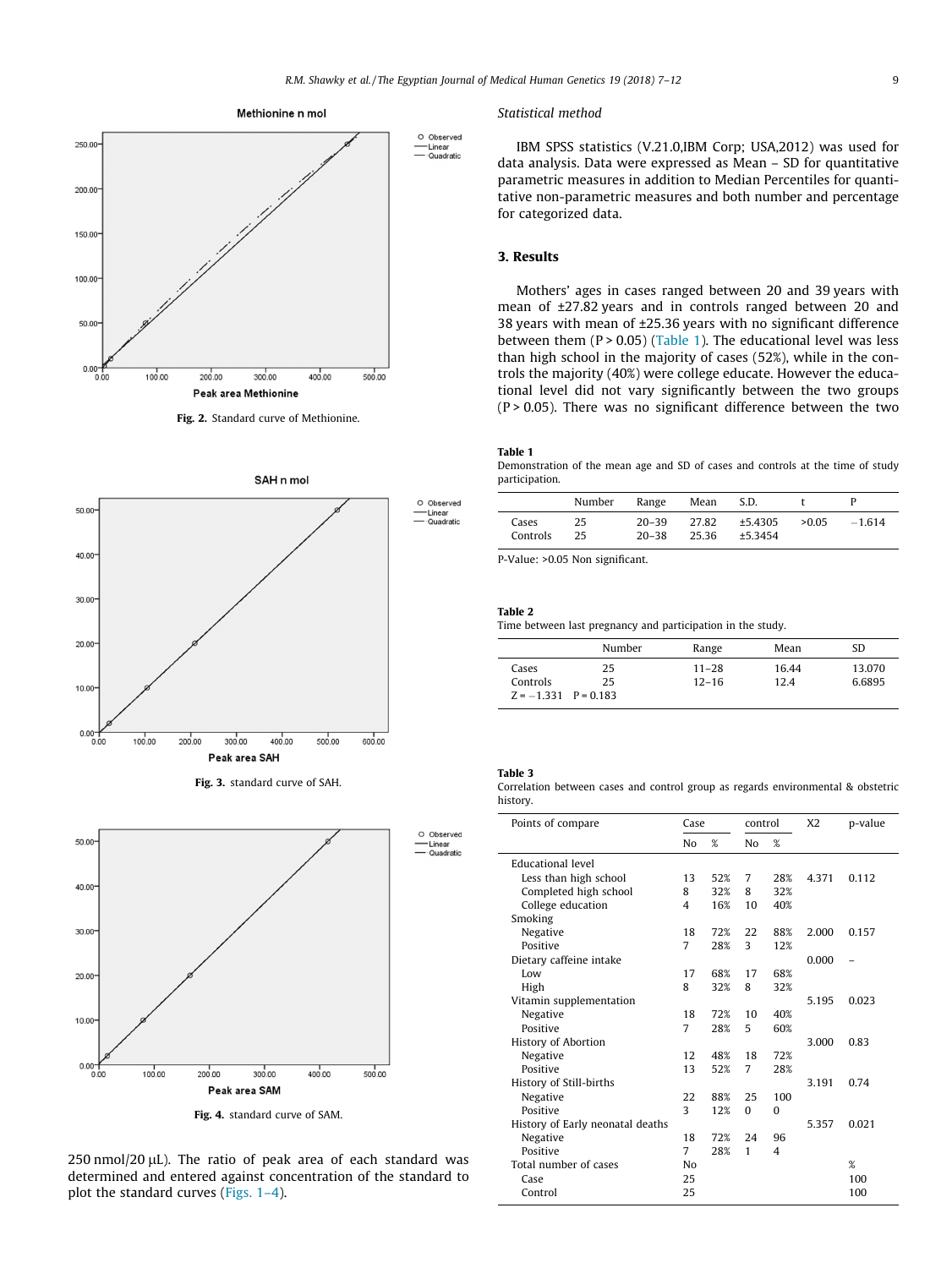<span id="page-2-0"></span>







 $250$  nmol/ $20$   $\mu$ L). The ratio of peak area of each standard was determined and entered against concentration of the standard to plot the standard curves [\(Figs. 1–4\)](#page-1-0).

#### Statistical method

IBM SPSS statistics (V.21.0,IBM Corp; USA,2012) was used for data analysis. Data were expressed as Mean – SD for quantitative parametric measures in addition to Median Percentiles for quantitative non-parametric measures and both number and percentage for categorized data.

### 3. Results

Mothers' ages in cases ranged between 20 and 39 years with mean of ±27.82 years and in controls ranged between 20 and 38 years with mean of ±25.36 years with no significant difference between them  $(P > 0.05)$  (Table 1). The educational level was less than high school in the majority of cases (52%), while in the controls the majority (40%) were college educate. However the educational level did not vary significantly between the two groups Fig. 2. Standard curve of Methionine. (P > 0.05). There was no significant difference between the two

#### Table 1

Demonstration of the mean age and SD of cases and controls at the time of study participation.

|                   | Number   | Range                  | Mean           | S.D.               |       |         |
|-------------------|----------|------------------------|----------------|--------------------|-------|---------|
| Cases<br>Controls | 25<br>25 | $20 - 39$<br>$20 - 38$ | 27.82<br>25.36 | ±5.4305<br>±5.3454 | >0.05 | $-1614$ |

P-Value: >0.05 Non significant.

#### Table 2

Time between last pregnancy and participation in the study.

|                                               | Number   | Range                  | Mean          | SD               |
|-----------------------------------------------|----------|------------------------|---------------|------------------|
| Cases<br>Controls<br>$Z = -1.331$ $P = 0.183$ | 25<br>25 | $11 - 28$<br>$12 - 16$ | 16.44<br>12.4 | 13.070<br>6.6895 |

### Table 3

Correlation between cases and control group as regards environmental & obstetric history.

| Points of compare                |                | Case | control        |     | X <sub>2</sub> | p-value |
|----------------------------------|----------------|------|----------------|-----|----------------|---------|
|                                  | No             | %    | N <sub>0</sub> | %   |                |         |
| Educational level                |                |      |                |     |                |         |
| Less than high school            | 13             | 52%  | 7              | 28% | 4.371          | 0.112   |
| Completed high school            | 8              | 32%  | 8              | 32% |                |         |
| College education                | $\overline{4}$ | 16%  | 10             | 40% |                |         |
| Smoking                          |                |      |                |     |                |         |
| Negative                         | 18             | 72%  | 22             | 88% | 2.000          | 0.157   |
| Positive                         | 7              | 28%  | 3              | 12% |                |         |
| Dietary caffeine intake          |                |      |                |     | 0.000          |         |
| $I_0w$                           | 17             | 68%  | 17             | 68% |                |         |
| High                             | 8              | 32%  | 8              | 32% |                |         |
| Vitamin supplementation          |                |      |                |     | 5.195          | 0.023   |
| Negative                         | 18             | 72%  | 10             | 40% |                |         |
| Positive                         | 7              | 28%  | 5              | 60% |                |         |
| <b>History of Abortion</b>       |                |      |                |     | 3.000          | 0.83    |
| Negative                         | 12             | 48%  | 18             | 72% |                |         |
| Positive                         | 13             | 52%  | 7              | 28% |                |         |
| History of Still-births          |                |      |                |     | 3.191          | 0.74    |
| Negative                         | 22             | 88%  | 25             | 100 |                |         |
| Positive                         | 3              | 12%  | $\Omega$       | 0   |                |         |
| History of Early neonatal deaths |                |      |                |     | 5.357          | 0.021   |
| Negative                         | 18             | 72%  | 24             | 96  |                |         |
| Positive                         | 7              | 28%  | 1              | 4   |                |         |
| Total number of cases            | No             |      |                |     |                | %       |
| Case                             | 25             |      |                |     |                | 100     |
| Control                          | 25             |      |                |     |                | 100     |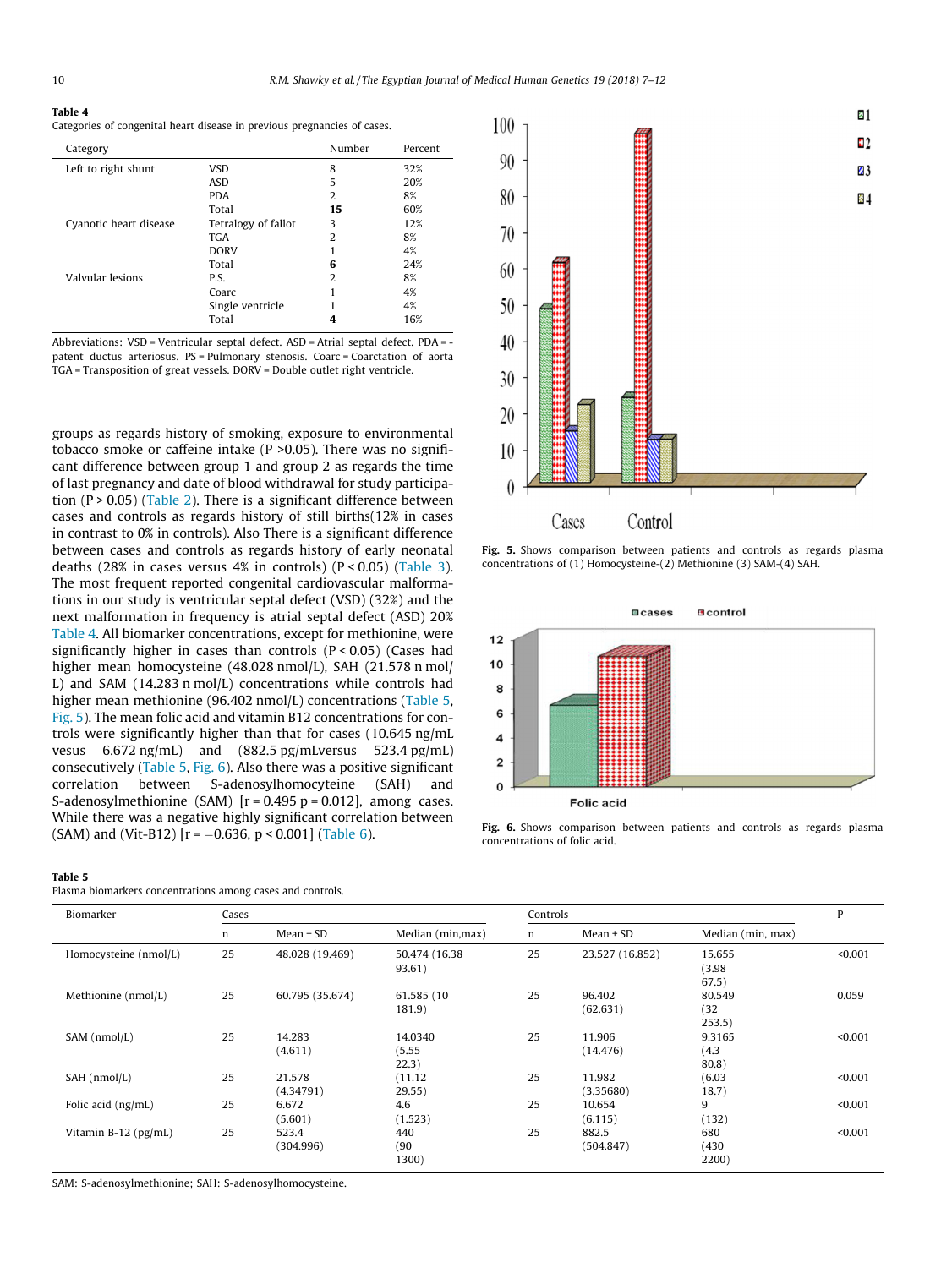#### Table 4

Categories of congenital heart disease in previous pregnancies of cases.

| Category               |                     | Number         | Percent |
|------------------------|---------------------|----------------|---------|
| Left to right shunt    | <b>VSD</b>          | 8              | 32%     |
|                        | ASD                 | 5              | 20%     |
|                        | <b>PDA</b>          | 2              | 8%      |
|                        | Total               | 15             | 60%     |
| Cyanotic heart disease | Tetralogy of fallot | 3              | 12%     |
|                        | <b>TGA</b>          | $\overline{2}$ | 8%      |
|                        | <b>DORV</b>         |                | 4%      |
|                        | Total               | 6              | 24%     |
| Valvular lesions       | P.S.                | 2              | 8%      |
|                        | Coarc               |                | 4%      |
|                        | Single ventricle    |                | 4%      |
|                        | Total               | 4              | 16%     |

Abbreviations: VSD = Ventricular septal defect. ASD = Atrial septal defect. PDA = patent ductus arteriosus. PS = Pulmonary stenosis. Coarc = Coarctation of aorta TGA = Transposition of great vessels. DORV = Double outlet right ventricle.

groups as regards history of smoking, exposure to environmental tobacco smoke or caffeine intake (P >0.05). There was no significant difference between group 1 and group 2 as regards the time of last pregnancy and date of blood withdrawal for study participation (P > 0.05) ([Table 2\)](#page-2-0). There is a significant difference between cases and controls as regards history of still births(12% in cases in contrast to 0% in controls). Also There is a significant difference between cases and controls as regards history of early neonatal deaths (28% in cases versus 4% in controls)  $(P < 0.05)$  ([Table 3\)](#page-2-0). The most frequent reported congenital cardiovascular malformations in our study is ventricular septal defect (VSD) (32%) and the next malformation in frequency is atrial septal defect (ASD) 20% Table 4. All biomarker concentrations, except for methionine, were significantly higher in cases than controls  $(P < 0.05)$  (Cases had higher mean homocysteine (48.028 nmol/L), SAH (21.578 n mol/ L) and SAM (14.283 n mol/L) concentrations while controls had higher mean methionine (96.402 nmol/L) concentrations (Table 5, Fig. 5). The mean folic acid and vitamin B12 concentrations for controls were significantly higher than that for cases (10.645 ng/mL vesus 6.672 ng/mL) and (882.5 pg/mLversus 523.4 pg/mL) consecutively (Table 5, Fig. 6). Also there was a positive significant correlation between S-adenosylhomocyteine (SAH) and S-adenosylmethionine (SAM)  $[r = 0.495 p = 0.012]$ , among cases. While there was a negative highly significant correlation between (SAM) and (Vit-B12) [ $r = -0.636$ ,  $p < 0.001$ ] [\(Table 6\)](#page-4-0).

## 图1 100  $12$  $90$  $\mathbf{Z}$ 3 80 84 70 60 50 40  $30$ 20 10  $\theta$ Cases Control

Fig. 5. Shows comparison between patients and controls as regards plasma concentrations of (1) Homocysteine-(2) Methionine (3) SAM-(4) SAH.



Fig. 6. Shows comparison between patients and controls as regards plasma concentrations of folic acid.

#### Table 5

Plasma biomarkers concentrations among cases and controls.

| Biomarker             | Cases |                     |                            |    | Controls            |                           |         |  |
|-----------------------|-------|---------------------|----------------------------|----|---------------------|---------------------------|---------|--|
|                       | n     | $Mean \pm SD$       | Median (min, max)          | n  | $Mean \pm SD$       | Median (min, max)         |         |  |
| Homocysteine (nmol/L) | 25    | 48.028 (19.469)     | 50.474 (16.38)<br>93.61)   | 25 | 23.527 (16.852)     | 15.655<br>(3.98)<br>67.5) | < 0.001 |  |
| Methionine (nmol/L)   | 25    | 60.795 (35.674)     | 61.585 (10<br>181.9)       | 25 | 96.402<br>(62.631)  | 80.549<br>(32)<br>253.5)  | 0.059   |  |
| SAM (nmol/L)          | 25    | 14.283<br>(4.611)   | 14.0340<br>(5.55)<br>22.3) | 25 | 11.906<br>(14.476)  | 9.3165<br>(4.3)<br>80.8)  | < 0.001 |  |
| SAH (nmol/L)          | 25    | 21.578<br>(4.34791) | (11.12)<br>29.55)          | 25 | 11.982<br>(3.35680) | (6.03)<br>18.7)           | < 0.001 |  |
| Folic acid (ng/mL)    | 25    | 6.672<br>(5.601)    | 4.6<br>(1.523)             | 25 | 10.654<br>(6.115)   | 9<br>(132)                | < 0.001 |  |
| Vitamin B-12 (pg/mL)  | 25    | 523.4<br>(304.996)  | 440<br>(90)<br>1300)       | 25 | 882.5<br>(504.847)  | 680<br>(430)<br>2200)     | < 0.001 |  |

SAM: S-adenosylmethionine; SAH: S-adenosylhomocysteine.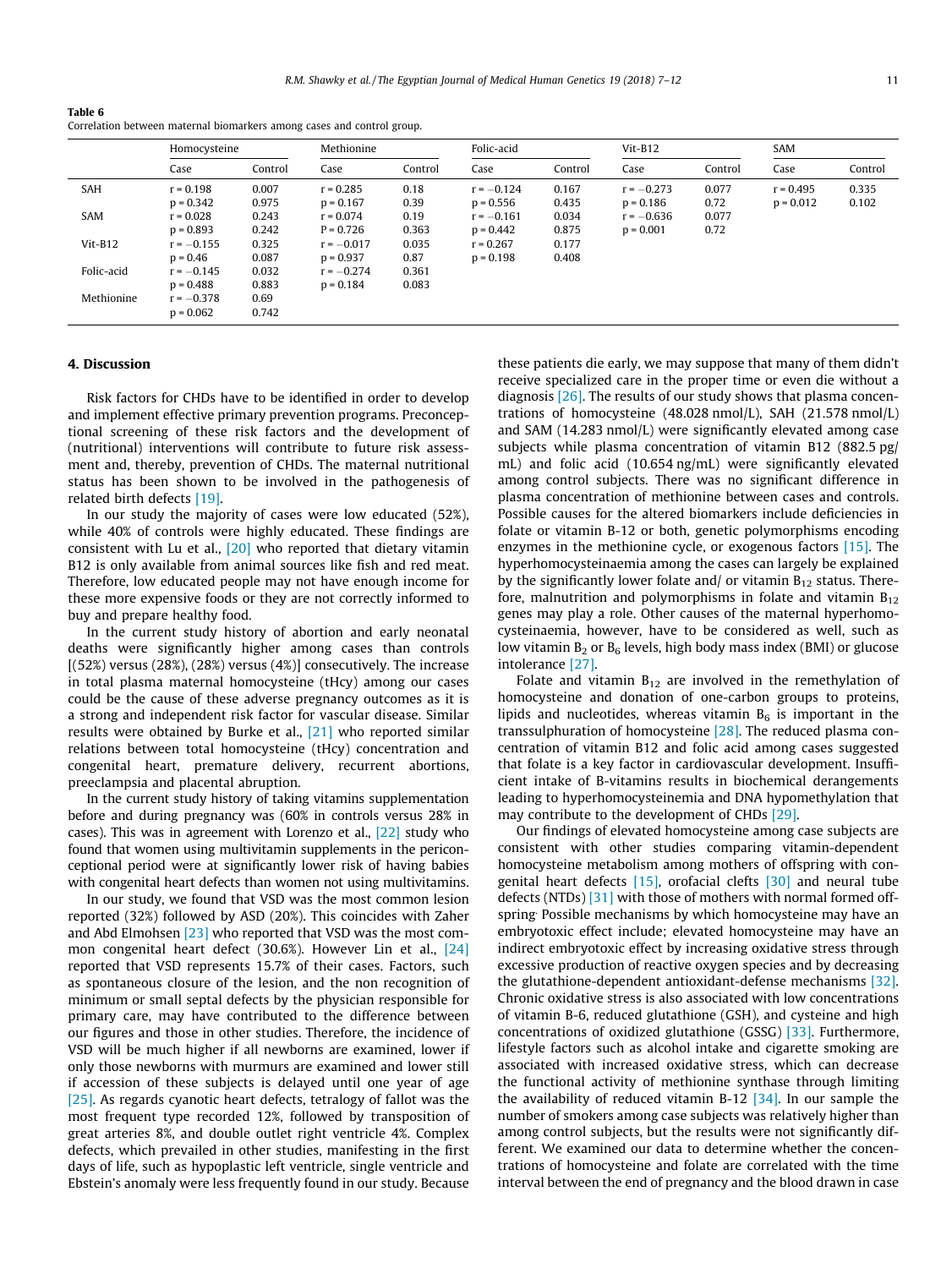<span id="page-4-0"></span>Table 6 Correlation between maternal biomarkers among cases and control group.

|            | Homocysteine                |                | Methionine                  |                | Folic-acid                  |                | $Vit-B12$                   |               | <b>SAM</b>                 |                |
|------------|-----------------------------|----------------|-----------------------------|----------------|-----------------------------|----------------|-----------------------------|---------------|----------------------------|----------------|
|            | Case                        | Control        | Case                        | Control        | Case                        | Control        | Case                        | Control       | Case                       | Control        |
| SAH        | $r = 0.198$<br>$p = 0.342$  | 0.007<br>0.975 | $r = 0.285$<br>$p = 0.167$  | 0.18<br>0.39   | $r = -0.124$<br>$p = 0.556$ | 0.167<br>0.435 | $r = -0.273$<br>$p = 0.186$ | 0.077<br>0.72 | $r = 0.495$<br>$p = 0.012$ | 0.335<br>0.102 |
| SAM        | $r = 0.028$<br>$p = 0.893$  | 0.243<br>0.242 | $r = 0.074$<br>$P = 0.726$  | 0.19<br>0.363  | $r = -0.161$<br>$p = 0.442$ | 0.034<br>0.875 | $r = -0.636$<br>$p = 0.001$ | 0.077<br>0.72 |                            |                |
| $V$ it-B12 | $r = -0.155$<br>$p = 0.46$  | 0.325<br>0.087 | $r = -0.017$<br>$p = 0.937$ | 0.035<br>0.87  | $r = 0.267$<br>$p = 0.198$  | 0.177<br>0.408 |                             |               |                            |                |
| Folic-acid | $r = -0.145$<br>$p = 0.488$ | 0.032<br>0.883 | $r = -0.274$<br>$p = 0.184$ | 0.361<br>0.083 |                             |                |                             |               |                            |                |
| Methionine | $r = -0.378$<br>$p = 0.062$ | 0.69<br>0.742  |                             |                |                             |                |                             |               |                            |                |

#### 4. Discussion

Risk factors for CHDs have to be identified in order to develop and implement effective primary prevention programs. Preconceptional screening of these risk factors and the development of (nutritional) interventions will contribute to future risk assessment and, thereby, prevention of CHDs. The maternal nutritional status has been shown to be involved in the pathogenesis of related birth defects [\[19\].](#page-5-0)

In our study the majority of cases were low educated (52%), while 40% of controls were highly educated. These findings are consistent with Lu et al., [\[20\]](#page-5-0) who reported that dietary vitamin B12 is only available from animal sources like fish and red meat. Therefore, low educated people may not have enough income for these more expensive foods or they are not correctly informed to buy and prepare healthy food.

In the current study history of abortion and early neonatal deaths were significantly higher among cases than controls [(52%) versus (28%), (28%) versus (4%)] consecutively. The increase in total plasma maternal homocysteine (tHcy) among our cases could be the cause of these adverse pregnancy outcomes as it is a strong and independent risk factor for vascular disease. Similar results were obtained by Burke et al., [\[21\]](#page-5-0) who reported similar relations between total homocysteine (tHcy) concentration and congenital heart, premature delivery, recurrent abortions, preeclampsia and placental abruption.

In the current study history of taking vitamins supplementation before and during pregnancy was (60% in controls versus 28% in cases). This was in agreement with Lorenzo et al., [\[22\]](#page-5-0) study who found that women using multivitamin supplements in the periconceptional period were at significantly lower risk of having babies with congenital heart defects than women not using multivitamins.

In our study, we found that VSD was the most common lesion reported (32%) followed by ASD (20%). This coincides with Zaher and Abd Elmohsen [\[23\]](#page-5-0) who reported that VSD was the most common congenital heart defect (30.6%). However Lin et al., [\[24\]](#page-5-0) reported that VSD represents 15.7% of their cases. Factors, such as spontaneous closure of the lesion, and the non recognition of minimum or small septal defects by the physician responsible for primary care, may have contributed to the difference between our figures and those in other studies. Therefore, the incidence of VSD will be much higher if all newborns are examined, lower if only those newborns with murmurs are examined and lower still if accession of these subjects is delayed until one year of age [\[25\].](#page-5-0) As regards cyanotic heart defects, tetralogy of fallot was the most frequent type recorded 12%, followed by transposition of great arteries 8%, and double outlet right ventricle 4%. Complex defects, which prevailed in other studies, manifesting in the first days of life, such as hypoplastic left ventricle, single ventricle and Ebstein's anomaly were less frequently found in our study. Because these patients die early, we may suppose that many of them didn't receive specialized care in the proper time or even die without a diagnosis [\[26\]](#page-5-0). The results of our study shows that plasma concentrations of homocysteine (48.028 nmol/L), SAH (21.578 nmol/L) and SAM (14.283 nmol/L) were significantly elevated among case subjects while plasma concentration of vitamin B12 (882.5 pg/ mL) and folic acid (10.654 ng/mL) were significantly elevated among control subjects. There was no significant difference in plasma concentration of methionine between cases and controls. Possible causes for the altered biomarkers include deficiencies in folate or vitamin B-12 or both, genetic polymorphisms encoding enzymes in the methionine cycle, or exogenous factors [\[15\].](#page-5-0) The hyperhomocysteinaemia among the cases can largely be explained by the significantly lower folate and/ or vitamin  $B_{12}$  status. Therefore, malnutrition and polymorphisms in folate and vitamin  $B_{12}$ genes may play a role. Other causes of the maternal hyperhomocysteinaemia, however, have to be considered as well, such as low vitamin  $B_2$  or  $B_6$  levels, high body mass index (BMI) or glucose intolerance [\[27\]](#page-5-0).

Folate and vitamin  $B_{12}$  are involved in the remethylation of homocysteine and donation of one-carbon groups to proteins, lipids and nucleotides, whereas vitamin  $B_6$  is important in the transsulphuration of homocysteine [\[28\]](#page-5-0). The reduced plasma concentration of vitamin B12 and folic acid among cases suggested that folate is a key factor in cardiovascular development. Insufficient intake of B-vitamins results in biochemical derangements leading to hyperhomocysteinemia and DNA hypomethylation that may contribute to the development of CHDs [\[29\].](#page-5-0)

Our findings of elevated homocysteine among case subjects are consistent with other studies comparing vitamin-dependent homocysteine metabolism among mothers of offspring with congenital heart defects  $[15]$ , orofacial clefts  $[30]$  and neural tube defects (NTDs) [\[31\]](#page-5-0) with those of mothers with normal formed offspring. Possible mechanisms by which homocysteine may have an embryotoxic effect include; elevated homocysteine may have an indirect embryotoxic effect by increasing oxidative stress through excessive production of reactive oxygen species and by decreasing the glutathione-dependent antioxidant-defense mechanisms [\[32\].](#page-5-0) Chronic oxidative stress is also associated with low concentrations of vitamin B-6, reduced glutathione (GSH), and cysteine and high concentrations of oxidized glutathione (GSSG) [\[33\].](#page-5-0) Furthermore, lifestyle factors such as alcohol intake and cigarette smoking are associated with increased oxidative stress, which can decrease the functional activity of methionine synthase through limiting the availability of reduced vitamin B-12  $[34]$ . In our sample the number of smokers among case subjects was relatively higher than among control subjects, but the results were not significantly different. We examined our data to determine whether the concentrations of homocysteine and folate are correlated with the time interval between the end of pregnancy and the blood drawn in case